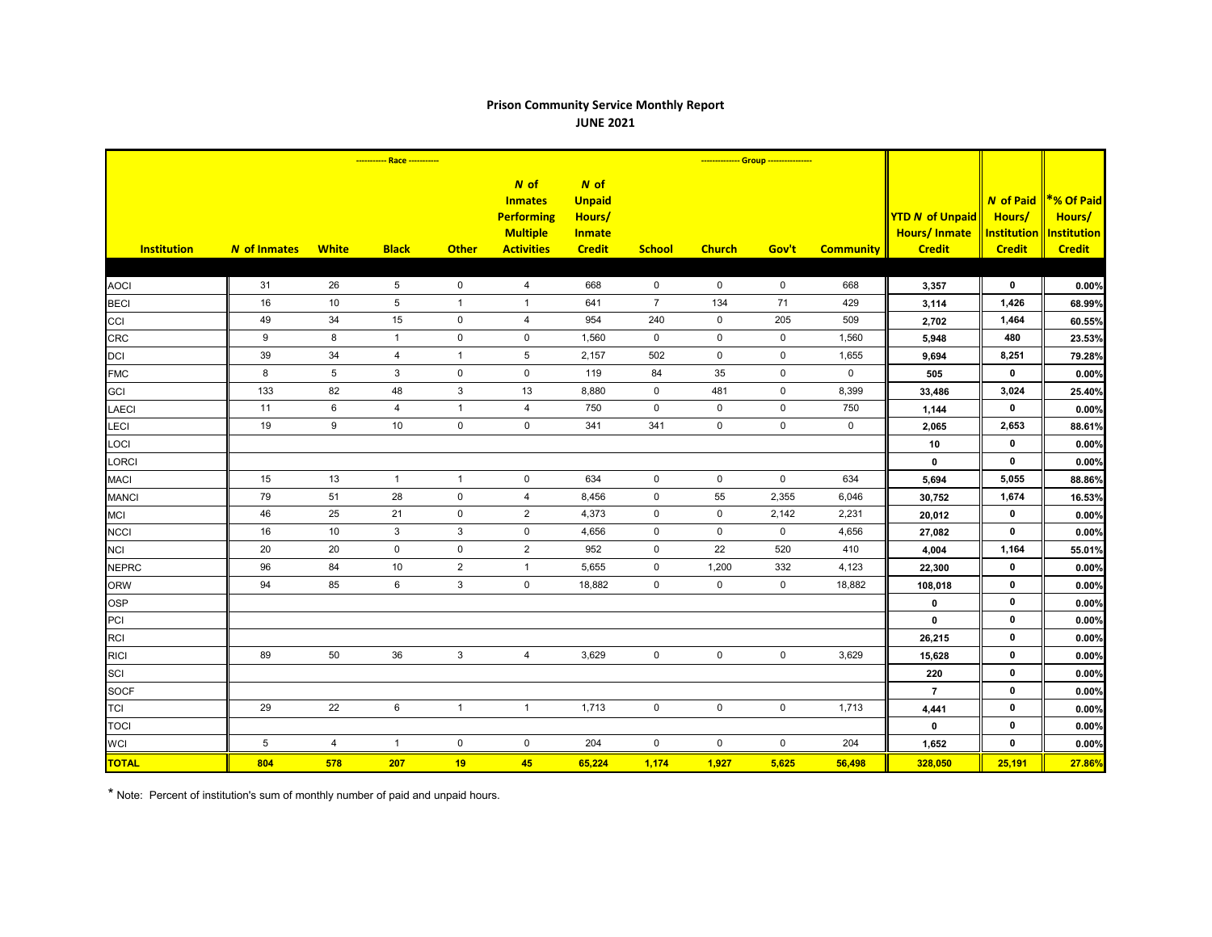## **Prison Community Service Monthly Report JUNE 2021**

|                    | ----------- Race ----------- |                  |                 |                |                                                                                       | -------------- Group ----------------                               |                     |                     |                     |                  |                                                                |                                                                   |                                                             |
|--------------------|------------------------------|------------------|-----------------|----------------|---------------------------------------------------------------------------------------|---------------------------------------------------------------------|---------------------|---------------------|---------------------|------------------|----------------------------------------------------------------|-------------------------------------------------------------------|-------------------------------------------------------------|
| <b>Institution</b> | <b>N</b> of Inmates          | <b>White</b>     | <b>Black</b>    | <b>Other</b>   | $N$ of<br><b>Inmates</b><br><b>Performing</b><br><b>Multiple</b><br><b>Activities</b> | $N$ of<br><b>Unpaid</b><br>Hours/<br><b>Inmate</b><br><b>Credit</b> | <b>School</b>       | <b>Church</b>       | Gov't               | <b>Community</b> | <b>YTD N of Unpaid</b><br><b>Hours/Inmate</b><br><b>Credit</b> | <b>N</b> of Paid<br>Hours/<br><b>Institution</b><br><b>Credit</b> | *% Of Paid<br>Hours/<br><b>Institution</b><br><b>Credit</b> |
|                    |                              |                  |                 |                |                                                                                       |                                                                     |                     |                     |                     |                  |                                                                |                                                                   |                                                             |
| <b>AOCI</b>        | 31                           | 26               | 5               | $\mathbf 0$    | $\overline{4}$                                                                        | 668                                                                 | $\mathsf{O}$        | $\mathbf 0$         | $\mathbf 0$         | 668              | 3,357                                                          | $\mathbf 0$                                                       | 0.00%                                                       |
| <b>BECI</b>        | 16                           | 10               | $5\phantom{.0}$ | $\mathbf{1}$   | $\overline{1}$                                                                        | 641                                                                 | $\overline{7}$      | 134                 | 71                  | 429              | 3,114                                                          | 1,426                                                             | 68.99%                                                      |
| CCI                | 49                           | 34               | 15              | $\mathbf 0$    | $\overline{4}$                                                                        | 954                                                                 | 240                 | $\mathbf 0$         | 205                 | 509              | 2,702                                                          | 1,464                                                             | 60.55%                                                      |
| <b>CRC</b>         | 9                            | 8                | $\mathbf{1}$    | $\mathbf 0$    | $\mathsf{O}\xspace$                                                                   | 1,560                                                               | $\mathbf 0$         | $\mathbf 0$         | $\mathbf 0$         | 1,560            | 5,948                                                          | 480                                                               | 23.53%                                                      |
| <b>DCI</b>         | 39                           | 34               | 4               | $\overline{1}$ | $5\phantom{.0}$                                                                       | 2,157                                                               | 502                 | $\mathbf 0$         | $\mathbf 0$         | 1,655            | 9,694                                                          | 8,251                                                             | 79.28%                                                      |
| <b>FMC</b>         | 8                            | $\sqrt{5}$       | $\mathbf{3}$    | $\pmb{0}$      | $\mathsf{O}\xspace$                                                                   | 119                                                                 | 84                  | 35                  | $\mathbf 0$         | $\mathbf 0$      | 505                                                            | $\mathbf{0}$                                                      | 0.00%                                                       |
| <b>GCI</b>         | 133                          | 82               | 48              | 3              | 13                                                                                    | 8,880                                                               | $\mathbf 0$         | 481                 | $\mathbf 0$         | 8,399            | 33,486                                                         | 3,024                                                             | 25.40%                                                      |
| <b>LAECI</b>       | 11                           | $\,6\,$          | $\overline{4}$  | $\mathbf{1}$   | $\overline{4}$                                                                        | 750                                                                 | $\mathsf 0$         | $\mathbf 0$         | $\mathbf 0$         | 750              | 1,144                                                          | $\mathbf 0$                                                       | 0.00%                                                       |
| LECI               | 19                           | $\boldsymbol{9}$ | 10              | $\pmb{0}$      | $\mathsf 0$                                                                           | 341                                                                 | 341                 | $\mathsf{O}\xspace$ | $\pmb{0}$           | $\mathbf 0$      | 2,065                                                          | 2,653                                                             | 88.61%                                                      |
| LOCI               |                              |                  |                 |                |                                                                                       |                                                                     |                     |                     |                     |                  | 10                                                             | $\mathbf 0$                                                       | 0.00%                                                       |
| LORCI              |                              |                  |                 |                |                                                                                       |                                                                     |                     |                     |                     |                  | $\mathbf 0$                                                    | $\mathbf 0$                                                       | 0.00%                                                       |
| <b>MACI</b>        | 15                           | 13               | $\overline{1}$  | $\mathbf{1}$   | $\mathbf 0$                                                                           | 634                                                                 | $\mathbf 0$         | $\mathbf 0$         | $\mathbf 0$         | 634              | 5,694                                                          | 5,055                                                             | 88.86%                                                      |
| <b>MANCI</b>       | 79                           | 51               | 28              | $\mathbf 0$    | $\overline{4}$                                                                        | 8,456                                                               | $\mathbf 0$         | 55                  | 2,355               | 6,046            | 30,752                                                         | 1,674                                                             | 16.53%                                                      |
| <b>MCI</b>         | 46                           | 25               | 21              | $\mathbf 0$    | $\overline{2}$                                                                        | 4,373                                                               | $\mathbf 0$         | $\mathbf 0$         | 2,142               | 2,231            | 20,012                                                         | $\mathbf 0$                                                       | 0.00%                                                       |
| <b>NCCI</b>        | 16                           | 10               | 3               | 3              | 0                                                                                     | 4,656                                                               | $\mathbf 0$         | 0                   | $\mathbf 0$         | 4,656            | 27,082                                                         | $\mathbf 0$                                                       | 0.00%                                                       |
| <b>NCI</b>         | 20                           | 20               | $\mathbf 0$     | $\pmb{0}$      | $\mathbf{2}$                                                                          | 952                                                                 | $\mathbf 0$         | 22                  | 520                 | 410              | 4,004                                                          | 1,164                                                             | 55.01%                                                      |
| <b>NEPRC</b>       | 96                           | 84               | 10 <sup>°</sup> | $\overline{c}$ | $\overline{1}$                                                                        | 5,655                                                               | $\mathbf 0$         | 1,200               | 332                 | 4,123            | 22,300                                                         | $\mathbf 0$                                                       | 0.00%                                                       |
| <b>ORW</b>         | 94                           | 85               | 6               | $\mathfrak{Z}$ | $\mathbf 0$                                                                           | 18,882                                                              | $\mathbf 0$         | $\mathsf{O}$        | $\mathbf 0$         | 18,882           | 108,018                                                        | $\mathbf 0$                                                       | 0.00%                                                       |
| <b>OSP</b>         |                              |                  |                 |                |                                                                                       |                                                                     |                     |                     |                     |                  | 0                                                              | $\mathbf 0$                                                       | 0.00%                                                       |
| PCI                |                              |                  |                 |                |                                                                                       |                                                                     |                     |                     |                     |                  | $\mathbf{0}$                                                   | $\mathbf 0$                                                       | 0.00%                                                       |
| <b>RCI</b>         |                              |                  |                 |                |                                                                                       |                                                                     |                     |                     |                     |                  | 26,215                                                         | $\mathbf 0$                                                       | 0.00%                                                       |
| <b>RICI</b>        | 89                           | 50               | 36              | $\mathbf{3}$   | $\overline{4}$                                                                        | 3,629                                                               | $\mathbf 0$         | $\mathsf 0$         | $\mathsf 0$         | 3,629            | 15,628                                                         | $\mathbf{0}$                                                      | 0.00%                                                       |
| SCI                |                              |                  |                 |                |                                                                                       |                                                                     |                     |                     |                     |                  | 220                                                            | $\mathbf 0$                                                       | 0.00%                                                       |
| <b>SOCF</b>        |                              |                  |                 |                |                                                                                       |                                                                     |                     |                     |                     |                  | $\overline{7}$                                                 | $\mathbf 0$                                                       | 0.00%                                                       |
| <b>TCI</b>         | 29                           | 22               | 6               | $\mathbf{1}$   | $\mathbf{1}$                                                                          | 1,713                                                               | $\mathsf{O}\xspace$ | $\mathbf 0$         | $\mathsf{O}\xspace$ | 1,713            | 4,441                                                          | $\mathbf 0$                                                       | 0.00%                                                       |
| <b>TOCI</b>        |                              |                  |                 |                |                                                                                       |                                                                     |                     |                     |                     |                  | $\mathbf 0$                                                    | $\mathbf 0$                                                       | 0.00%                                                       |
| <b>WCI</b>         | $5\phantom{.0}$              | $\overline{4}$   | $\overline{1}$  | $\mathsf 0$    | $\mathbf 0$                                                                           | 204                                                                 | $\mathsf{O}\xspace$ | $\mathbf 0$         | $\mathbf 0$         | 204              | 1,652                                                          | $\mathbf 0$                                                       | 0.00%                                                       |
| <b>TOTAL</b>       | 804                          | 578              | 207             | 19             | 45                                                                                    | 65,224                                                              | 1,174               | 1,927               | 5,625               | 56,498           | 328,050                                                        | 25,191                                                            | 27.86%                                                      |

\* Note: Percent of institution's sum of monthly number of paid and unpaid hours.